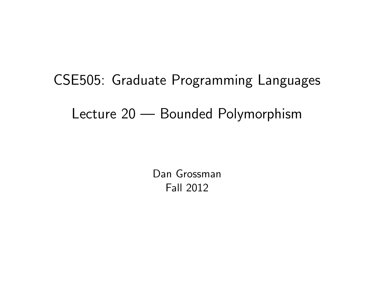# CSE505: Graduate Programming Languages Lecture 20 — Bounded Polymorphism

<span id="page-0-0"></span>Dan Grossman Fall 2012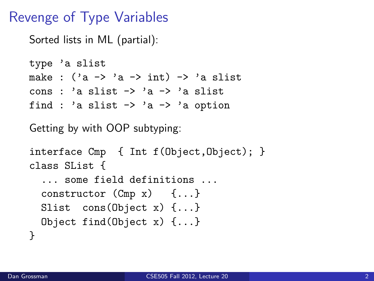#### Revenge of Type Variables

Sorted lists in ML (partial):

```
type 'a slist
make : (2a \rightarrow 2a \rightarrow int) \rightarrow 2a slist
cons : 'a slist \rightarrow 'a \rightarrow 'a slist
find : 'a slist \rightarrow 'a \rightarrow 'a option
```
Getting by with OOP subtyping:

```
interface Cmp { Int f(Object,Object); }
class SList {
  ... some field definitions ...
  constructor (Cmp x) {...}
  Slist cons(Object x) {...}
 Object find(Object x) {...}
}
```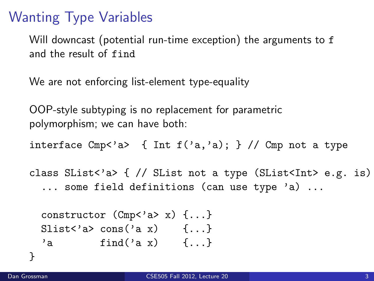### Wanting Type Variables

Will downcast (potential run-time exception) the arguments to f and the result of find

We are not enforcing list-element type-equality

OOP-style subtyping is no replacement for parametric polymorphism; we can have both:

interface Cmp<'a> { Int  $f('a,'a)$ ; } // Cmp not a type

class SList<'a> {  $//$  SList not a type (SList<Int> e.g. is) ... some field definitions (can use type 'a) ...

```
constructor (Cmp<'a> x) {...}
Slist<'a> cons('a x) {...}
'a find('a x) \{ \ldots \}
```
}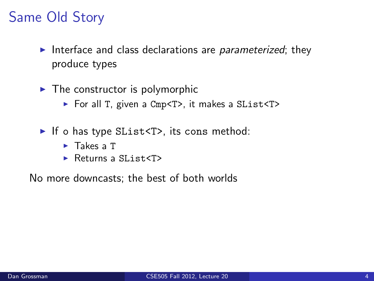## Same Old Story

- Interface and class declarations are *parameterized*; they produce types
- $\blacktriangleright$  The constructor is polymorphic
	- ► For all T, given a Cmp<T>, it makes a SList<T>
- If o has type SList<T>, its cons method:
	- $\blacktriangleright$  Takes a T
	- $\blacktriangleright$  Returns a SList<T>

No more downcasts; the best of both worlds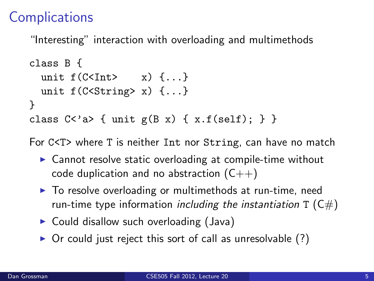### **Complications**

"Interesting" interaction with overloading and multimethods

```
class B {
  unit f(C\times Int) \quad x) \quad \{ \ldots \}unit f(C <String> x) \{ \ldots \}}
class C <'a> { unit g(B \times) { x.f(self); } }
```
For C<T> where T is neither Int nor String, can have no match

- $\triangleright$  Cannot resolve static overloading at compile-time without code duplication and no abstraction  $(C++)$
- ▶ To resolve overloading or multimethods at run-time, need run-time type information *including the instantiation*  $T(C#)$
- $\triangleright$  Could disallow such overloading (Java)
- $\triangleright$  Or could just reject this sort of call as unresolvable (?)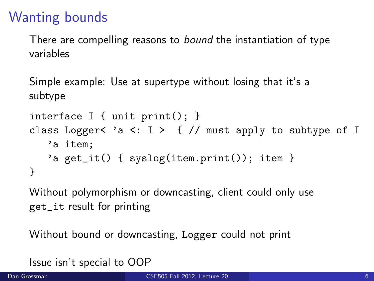#### Wanting bounds

There are compelling reasons to *bound* the instantiation of type variables

Simple example: Use at supertype without losing that it's a subtype

```
interface I { unit print(); }
class Logger< 'a <: I > \{ // must apply to subtype of I
   'a item;
   'a get_it() { syslog(item.print()); item }
}
```
Without polymorphism or downcasting, client could only use get\_it result for printing

Without bound or downcasting, Logger could not print

Issue isn't special to OOP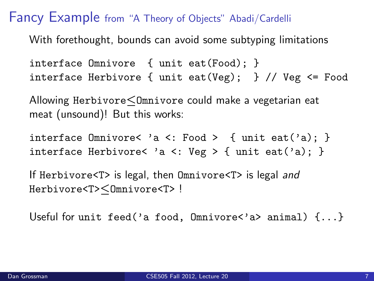#### Fancy Example from "A Theory of Objects" Abadi/Cardelli

With forethought, bounds can avoid some subtyping limitations

interface Omnivore { unit eat(Food); } interface Herbivore { unit eat(Veg); } // Veg <= Food

Allowing Herbivore≤Omnivore could make a vegetarian eat meat (unsound)! But this works:

interface Omnivore< 'a <: Food > { unit eat('a); } interface Herbivore< 'a <: Veg > { unit eat('a); }

If Herbivore<T> is legal, then Omnivore<T> is legal and Herbivore<T>≤Omnivore<T> !

Useful for unit feed('a food, Omnivore<'a> animal)  $\{ \ldots \}$